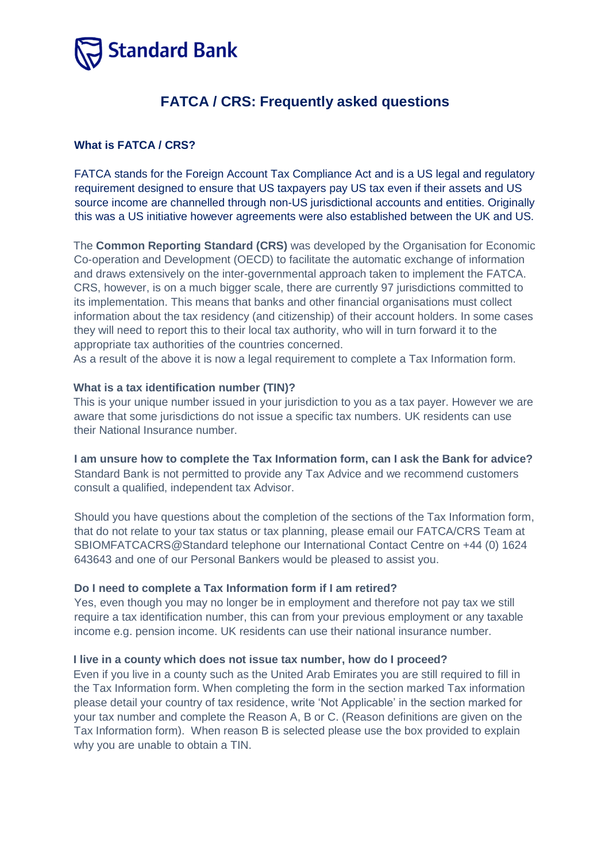

# **FATCA / CRS: Frequently asked questions**

## **What is FATCA / CRS?**

FATCA stands for the Foreign Account Tax Compliance Act and is a US legal and regulatory requirement designed to ensure that US taxpayers pay US tax even if their assets and US source income are channelled through non-US jurisdictional accounts and entities. Originally this was a US initiative however agreements were also established between the UK and US.

The **Common Reporting Standard (CRS)** was developed by the Organisation for Economic Co-operation and Development (OECD) to facilitate the automatic exchange of information and draws extensively on the inter-governmental approach taken to implement the FATCA. CRS, however, is on a much bigger scale, there are currently 97 jurisdictions committed to its implementation. This means that banks and other financial organisations must collect information about the tax residency (and citizenship) of their account holders. In some cases they will need to report this to their local tax authority, who will in turn forward it to the appropriate tax authorities of the countries concerned.

As a result of the above it is now a legal requirement to complete a Tax Information form.

#### **What is a tax identification number (TIN)?**

This is your unique number issued in your jurisdiction to you as a tax payer. However we are aware that some jurisdictions do not issue a specific tax numbers. UK residents can use their National Insurance number.

**I am unsure how to complete the Tax Information form, can I ask the Bank for advice?** Standard Bank is not permitted to provide any Tax Advice and we recommend customers consult a qualified, independent tax Advisor.

Should you have questions about the completion of the sections of the Tax Information form, that do not relate to your tax status or tax planning, please email our FATCA/CRS Team at SBIOMFATCACRS@Standard telephone our International Contact Centre on +44 (0) 1624 643643 and one of our Personal Bankers would be pleased to assist you.

#### **Do I need to complete a Tax Information form if I am retired?**

Yes, even though you may no longer be in employment and therefore not pay tax we still require a tax identification number, this can from your previous employment or any taxable income e.g. pension income. UK residents can use their national insurance number.

#### **I live in a county which does not issue tax number, how do I proceed?**

Even if you live in a county such as the United Arab Emirates you are still required to fill in the Tax Information form. When completing the form in the section marked Tax information please detail your country of tax residence, write 'Not Applicable' in the section marked for your tax number and complete the Reason A, B or C. (Reason definitions are given on the Tax Information form). When reason B is selected please use the box provided to explain why you are unable to obtain a TIN.